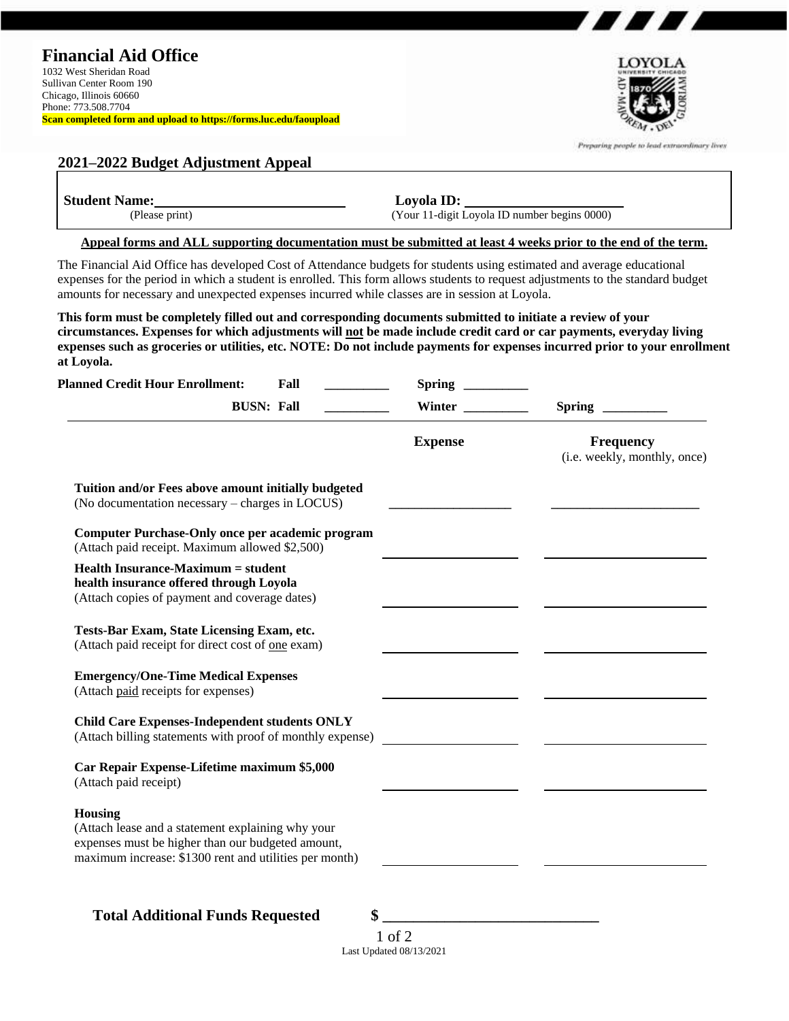

7 *8 8 1* 8 1

| (Please print)                                                                                                                                                                                                                                                                                                                                                                |      | Loyola ID:<br>(Your 11-digit Loyola ID number begins 0000)                                                     |                                                  |  |
|-------------------------------------------------------------------------------------------------------------------------------------------------------------------------------------------------------------------------------------------------------------------------------------------------------------------------------------------------------------------------------|------|----------------------------------------------------------------------------------------------------------------|--------------------------------------------------|--|
|                                                                                                                                                                                                                                                                                                                                                                               |      | Appeal forms and ALL supporting documentation must be submitted at least 4 weeks prior to the end of the term. |                                                  |  |
| The Financial Aid Office has developed Cost of Attendance budgets for students using estimated and average educational<br>expenses for the period in which a student is enrolled. This form allows students to request adjustments to the standard budget<br>amounts for necessary and unexpected expenses incurred while classes are in session at Loyola.                   |      |                                                                                                                |                                                  |  |
| This form must be completely filled out and corresponding documents submitted to initiate a review of your<br>circumstances. Expenses for which adjustments will not be made include credit card or car payments, everyday living<br>expenses such as groceries or utilities, etc. NOTE: Do not include payments for expenses incurred prior to your enrollment<br>at Loyola. |      |                                                                                                                |                                                  |  |
| <b>Planned Credit Hour Enrollment:</b>                                                                                                                                                                                                                                                                                                                                        | Fall | $Spring \_$                                                                                                    |                                                  |  |
| <b>BUSN: Fall</b>                                                                                                                                                                                                                                                                                                                                                             |      | Winter                                                                                                         |                                                  |  |
|                                                                                                                                                                                                                                                                                                                                                                               |      | <b>Expense</b>                                                                                                 | <b>Frequency</b><br>(i.e. weekly, monthly, once) |  |
| Tuition and/or Fees above amount initially budgeted<br>(No documentation necessary – charges in LOCUS)<br><b>Computer Purchase-Only once per academic program</b>                                                                                                                                                                                                             |      |                                                                                                                |                                                  |  |
| (Attach paid receipt. Maximum allowed \$2,500)                                                                                                                                                                                                                                                                                                                                |      |                                                                                                                |                                                  |  |
| <b>Health Insurance-Maximum = student</b><br>health insurance offered through Loyola                                                                                                                                                                                                                                                                                          |      |                                                                                                                |                                                  |  |
| (Attach copies of payment and coverage dates)                                                                                                                                                                                                                                                                                                                                 |      |                                                                                                                |                                                  |  |
| Tests-Bar Exam, State Licensing Exam, etc.<br>(Attach paid receipt for direct cost of one exam)                                                                                                                                                                                                                                                                               |      |                                                                                                                |                                                  |  |
| <b>Emergency/One-Time Medical Expenses</b><br>(Attach paid receipts for expenses)                                                                                                                                                                                                                                                                                             |      |                                                                                                                |                                                  |  |
| <b>Child Care Expenses-Independent students ONLY</b><br>(Attach billing statements with proof of monthly expense)                                                                                                                                                                                                                                                             |      |                                                                                                                |                                                  |  |
| Car Repair Expense-Lifetime maximum \$5,000<br>(Attach paid receipt)                                                                                                                                                                                                                                                                                                          |      |                                                                                                                |                                                  |  |

1 of 2 Last Updated 08/13/2021